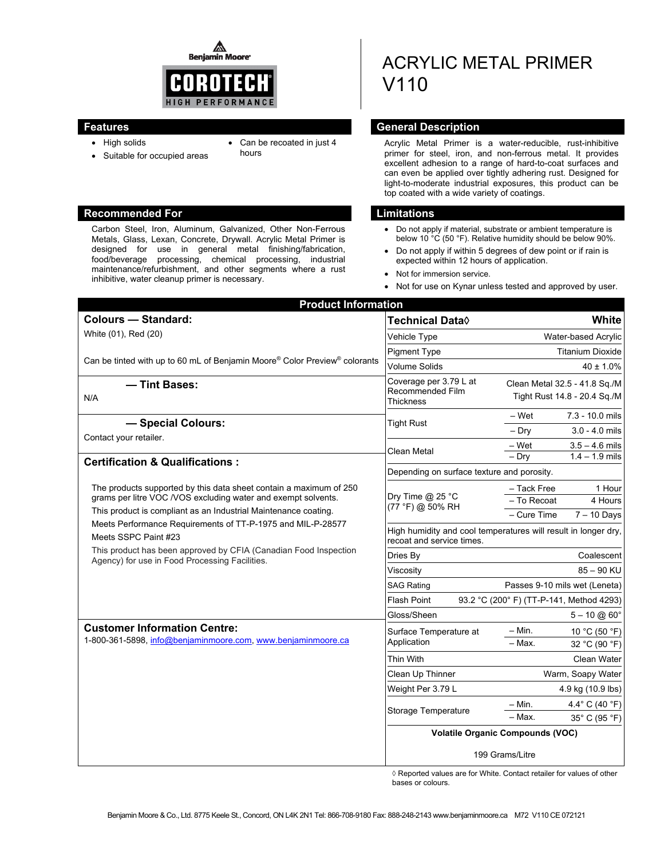◬ **Benjamin Moore** 



- High solids
- Can be recoated in just 4
- 

#### hours

Suitable for occupied areas

#### **Recommended For Limitations and Limitations**

Carbon Steel, Iron, Aluminum, Galvanized, Other Non-Ferrous Metals, Glass, Lexan, Concrete, Drywall. Acrylic Metal Primer is designed for use in general metal finishing/fabrication, food/beverage processing, chemical processing, industrial maintenance/refurbishment, and other segments where a rust inhibitive, water cleanup primer is necessary.

# ACRYLIC METAL PRIMER V110

# **Features General Description Contract Description**

Acrylic Metal Primer is a water-reducible, rust-inhibitive primer for steel, iron, and non-ferrous metal. It provides excellent adhesion to a range of hard-to-coat surfaces and can even be applied over tightly adhering rust. Designed for light-to-moderate industrial exposures, this product can be top coated with a wide variety of coatings.

- Do not apply if material, substrate or ambient temperature is below 10<sup>°</sup>C (50<sup>°</sup>F). Relative humidity should be below 90%.
- Do not apply if within 5 degrees of dew point or if rain is expected within 12 hours of application.
- Not for immersion service.
- Not for use on Kynar unless tested and approved by user.

| <b>Product Information</b>                                                                                                                                                                                                                                                                                                                                                                                                                                                                                        |                                                                                             |                                                               |  |
|-------------------------------------------------------------------------------------------------------------------------------------------------------------------------------------------------------------------------------------------------------------------------------------------------------------------------------------------------------------------------------------------------------------------------------------------------------------------------------------------------------------------|---------------------------------------------------------------------------------------------|---------------------------------------------------------------|--|
| <b>Colours - Standard:</b>                                                                                                                                                                                                                                                                                                                                                                                                                                                                                        | Technical Data◊                                                                             | White                                                         |  |
| White (01), Red (20)                                                                                                                                                                                                                                                                                                                                                                                                                                                                                              | Vehicle Type                                                                                | Water-based Acrylic                                           |  |
| Can be tinted with up to 60 mL of Benjamin Moore® Color Preview® colorants                                                                                                                                                                                                                                                                                                                                                                                                                                        | <b>Pigment Type</b>                                                                         | <b>Titanium Dioxide</b>                                       |  |
|                                                                                                                                                                                                                                                                                                                                                                                                                                                                                                                   | <b>Volume Solids</b>                                                                        | $40 \pm 1.0\%$                                                |  |
| - Tint Bases:<br>N/A                                                                                                                                                                                                                                                                                                                                                                                                                                                                                              | Coverage per 3.79 L at<br>Recommended Film<br><b>Thickness</b>                              | Clean Metal 32.5 - 41.8 Sq./M<br>Tight Rust 14.8 - 20.4 Sq./M |  |
| - Special Colours:<br>Contact your retailer.<br><b>Certification &amp; Qualifications:</b><br>The products supported by this data sheet contain a maximum of 250<br>grams per litre VOC /VOS excluding water and exempt solvents.<br>This product is compliant as an Industrial Maintenance coating.<br>Meets Performance Requirements of TT-P-1975 and MIL-P-28577<br>Meets SSPC Paint #23<br>This product has been approved by CFIA (Canadian Food Inspection<br>Agency) for use in Food Processing Facilities. | <b>Tight Rust</b>                                                                           | 7.3 - 10.0 mils<br>- Wet                                      |  |
|                                                                                                                                                                                                                                                                                                                                                                                                                                                                                                                   |                                                                                             | $3.0 - 4.0$ mils<br>– Drv                                     |  |
|                                                                                                                                                                                                                                                                                                                                                                                                                                                                                                                   | Clean Metal                                                                                 | – Wet<br>$3.5 - 4.6$ mils<br>$1.4 - 1.9$ mils<br>$-$ Dry      |  |
|                                                                                                                                                                                                                                                                                                                                                                                                                                                                                                                   | Depending on surface texture and porosity.                                                  |                                                               |  |
|                                                                                                                                                                                                                                                                                                                                                                                                                                                                                                                   | Dry Time @ 25 °C<br>(77 °F) @ 50% RH                                                        | - Tack Free<br>1 Hour<br>- To Recoat<br>4 Hours               |  |
|                                                                                                                                                                                                                                                                                                                                                                                                                                                                                                                   |                                                                                             | - Cure Time<br>$7 - 10$ Days                                  |  |
|                                                                                                                                                                                                                                                                                                                                                                                                                                                                                                                   | High humidity and cool temperatures will result in longer dry,<br>recoat and service times. |                                                               |  |
|                                                                                                                                                                                                                                                                                                                                                                                                                                                                                                                   | Dries By                                                                                    | Coalescent                                                    |  |
|                                                                                                                                                                                                                                                                                                                                                                                                                                                                                                                   | Viscositv                                                                                   | $85 - 90$ KU                                                  |  |
|                                                                                                                                                                                                                                                                                                                                                                                                                                                                                                                   | SAG Rating                                                                                  | Passes 9-10 mils wet (Leneta)                                 |  |
|                                                                                                                                                                                                                                                                                                                                                                                                                                                                                                                   | <b>Flash Point</b><br>93.2 °C (200° F) (TT-P-141, Method 4293)                              |                                                               |  |
|                                                                                                                                                                                                                                                                                                                                                                                                                                                                                                                   | Gloss/Sheen                                                                                 | $5 - 10 \omega 60^\circ$                                      |  |
| <b>Customer Information Centre:</b><br>1-800-361-5898, info@benjaminmoore.com, www.benjaminmoore.ca                                                                                                                                                                                                                                                                                                                                                                                                               | Surface Temperature at<br>Application                                                       | $-$ Min.<br>10 °C (50 °F)<br>$-$ Max.<br>32 °C (90 °F)        |  |
|                                                                                                                                                                                                                                                                                                                                                                                                                                                                                                                   | Thin With                                                                                   | <b>Clean Water</b>                                            |  |
|                                                                                                                                                                                                                                                                                                                                                                                                                                                                                                                   | Clean Up Thinner                                                                            | Warm, Soapy Water                                             |  |
|                                                                                                                                                                                                                                                                                                                                                                                                                                                                                                                   | Weight Per 3.79 L                                                                           | 4.9 kg (10.9 lbs)                                             |  |
|                                                                                                                                                                                                                                                                                                                                                                                                                                                                                                                   | Storage Temperature                                                                         | 4.4 $\degree$ C (40 $\degree$ F)<br>– Min.                    |  |
|                                                                                                                                                                                                                                                                                                                                                                                                                                                                                                                   |                                                                                             | $-$ Max.<br>35° C (95 °F)                                     |  |
|                                                                                                                                                                                                                                                                                                                                                                                                                                                                                                                   | <b>Volatile Organic Compounds (VOC)</b>                                                     |                                                               |  |
|                                                                                                                                                                                                                                                                                                                                                                                                                                                                                                                   | 199 Grams/Litre                                                                             |                                                               |  |

◊ Reported values are for White. Contact retailer for values of other bases or colours.